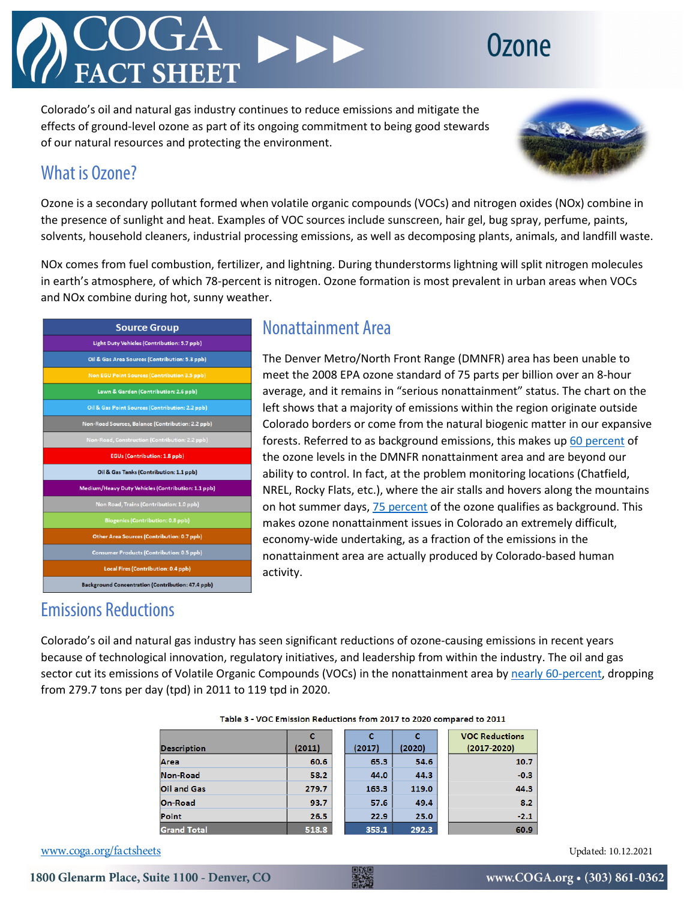## **70DA**

Colorado's oil and natural gas industry continues to reduce emissions and mitigate the effects of ground-level ozone as part of its ongoing commitment to being good stewards of our natural resources and protecting the environment.



## What is Ozone?

Ozone is a secondary pollutant formed when volatile organic compounds (VOCs) and nitrogen oxides (NOx) combine in the presence of sunlight and heat. Examples of VOC sources include sunscreen, hair gel, bug spray, perfume, paints, solvents, household cleaners, industrial processing emissions, as well as decomposing plants, animals, and landfill waste.

NOx comes from fuel combustion, fertilizer, and lightning. During thunderstorms lightning will split nitrogen molecules in earth's atmosphere, of which 78-percent is nitrogen. Ozone formation is most prevalent in urban areas when VOCs and NOx combine during hot, sunny weather.

| <b>Source Group</b>                                       |  |  |  |  |  |
|-----------------------------------------------------------|--|--|--|--|--|
| Light Duty Vehicles (Contribution: 5.7 ppb)               |  |  |  |  |  |
| Oil & Gas Area Sources (Contribution: 5.3 ppb)            |  |  |  |  |  |
| <b>Non EGU Point Sources (Contribution 3.5 ppb)</b>       |  |  |  |  |  |
| Lawn & Garden (Contribution: 2.6 ppb)                     |  |  |  |  |  |
| Oil & Gas Point Sources (Contribution: 2.2 ppb)           |  |  |  |  |  |
| Non-Road Sources, Balance (Contribution: 2.2 ppb)         |  |  |  |  |  |
| Non-Road, Construction (Contribution: 2.2 ppb)            |  |  |  |  |  |
| <b>EGUs (Contribution: 1.8 ppb)</b>                       |  |  |  |  |  |
| Oil & Gas Tanks (Contribution: 1.1 ppb)                   |  |  |  |  |  |
| <b>Medium/Heavy Duty Vehicles (Contribution: 1.1 ppb)</b> |  |  |  |  |  |
| Non Road, Trains (Contribution: 1.0 ppb)                  |  |  |  |  |  |
| <b>Biogenics (Contribution: 0.8 ppb)</b>                  |  |  |  |  |  |
| Other Area Sources (Contribution: 0.7 ppb)                |  |  |  |  |  |
| <b>Consumer Products (Contribution: 0.5 ppb)</b>          |  |  |  |  |  |
| Local Fires (Contribution: 0.4 ppb)                       |  |  |  |  |  |
| <b>Background Concentration (Contribution: 47.4 ppb)</b>  |  |  |  |  |  |

## Nonattainment Area

The Denver Metro/North Front Range (DMNFR) area has been unable to meet the 2008 EPA ozone standard of 75 parts per billion over an 8-hour average, and it remains in "serious nonattainment" status. The chart on the left shows that a majority of emissions within the region originate outside Colorado borders or come from the natural biogenic matter in our expansive forests. Referred to as background emissions, this makes up [60 percent](https://raqc.egnyte.com/dl/FelvUcC6WD/MonthlyBriefingMemo091021.pdf_) of the ozone levels in the DMNFR nonattainment area and are beyond our ability to control. In fact, at the problem monitoring locations (Chatfield, NREL, Rocky Flats, etc.), where the air stalls and hovers along the mountains on hot summer days, [75 percent](https://raqc.egnyte.com/dl/VxMTx5309z/Denver_2017_SA_Rpt_v6_2017-04-12-FINAL.pdf_) of the ozone qualifies as background. This makes ozone nonattainment issues in Colorado an extremely difficult, economy-wide undertaking, as a fraction of the emissions in the nonattainment area are actually produced by Colorado-based human activity.

## Emissions Reductions

Colorado's oil and natural gas industry has seen significant reductions of ozone-causing emissions in recent years because of technological innovation, regulatory initiatives, and leadership from within the industry. The oil and gas sector cut its emissions of Volatile Organic Compounds (VOCs) in the nonattainment area by [nearly 60-percent,](https://raqc.egnyte.com/dl/WgJNgUF5Rx/FinalDraft_SeriousOzoneSIP2008NAAQS_2020-08-19_editted%2Bapdxs.pdf_) dropping from 279.7 tons per day (tpd) in 2011 to 119 tpd in 2020.

| <b>Description</b> | c<br>(2011) | (2017) | (2020) | <b>VOC Reductions</b><br>$(2017 - 2020)$ |
|--------------------|-------------|--------|--------|------------------------------------------|
| Area               | 60.6        | 65.3   | 54.6   | 10.7                                     |
| Non-Road           | 58.2        | 44.0   | 44.3   | $-0.3$                                   |
| <b>Oil and Gas</b> | 279.7       | 163.3  | 119.0  | 44.3                                     |
| On-Road            | 93.7        | 57.6   | 49.4   | 8.2                                      |
| Point              | 26.5        | 22.9   | 25.0   | $-2.1$                                   |
| <b>Grand Total</b> | 518.8       | 353.1  | 292.3  | 60.9                                     |

#### Table 3 - VOC Emission Reductions from 2017 to 2020 compared to 2011

[www.coga.org/factsheets](http://www.coga.org/factsheets) Updated: 10.12.2021

1800 Glenarm Place, Suite 1100 - Denver, CO